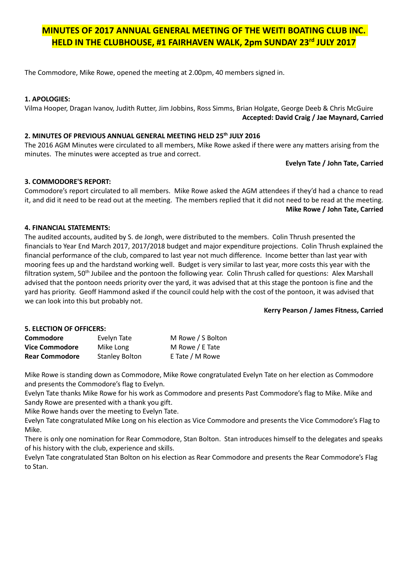# MINUTES OF 2017 ANNUAL GENERAL MEETING OF THE WEITI BOATING CLUB INC. HELD IN THE CLUBHOUSE, #1 FAIRHAVEN WALK, 2pm SUNDAY 23<sup>rd</sup> JULY 2017

The Commodore, Mike Rowe, opened the meeting at 2.00pm, 40 members signed in.

## 1. APOLOGIES:

Vilma Hooper, Dragan Ivanov, Judith Rutter, Jim Jobbins, Ross Simms, Brian Holgate, George Deeb & Chris McGuire Accepted: David Craig / Jae Maynard, Carried

## 2. MINUTES OF PREVIOUS ANNUAL GENERAL MEETING HELD 25<sup>th</sup> JULY 2016

The 2016 AGM Minutes were circulated to all members, Mike Rowe asked if there were any matters arising from the minutes. The minutes were accepted as true and correct.

Evelyn Tate / John Tate, Carried

## 3. COMMODORE'S REPORT:

Commodore's report circulated to all members. Mike Rowe asked the AGM attendees if they'd had a chance to read it, and did it need to be read out at the meeting. The members replied that it did not need to be read at the meeting. Mike Rowe / John Tate, Carried

## 4. FINANCIAL STATEMENTS:

The audited accounts, audited by S. de Jongh, were distributed to the members. Colin Thrush presented the financials to Year End March 2017, 2017/2018 budget and major expenditure projections. Colin Thrush explained the financial performance of the club, compared to last year not much difference. Income better than last year with mooring fees up and the hardstand working well. Budget is very similar to last year, more costs this year with the filtration system,  $50<sup>th</sup>$  Jubilee and the pontoon the following year. Colin Thrush called for questions: Alex Marshall advised that the pontoon needs priority over the yard, it was advised that at this stage the pontoon is fine and the yard has priority. Geoff Hammond asked if the council could help with the cost of the pontoon, it was advised that we can look into this but probably not.

Kerry Pearson / James Fitness, Carried

## 5. ELECTION OF OFFICERS:

| Commodore             | Evelyn Tate           | M Rowe / S Bolton |
|-----------------------|-----------------------|-------------------|
| <b>Vice Commodore</b> | Mike Long             | M Rowe / E Tate   |
| <b>Rear Commodore</b> | <b>Stanley Bolton</b> | E Tate / M Rowe   |

Mike Rowe is standing down as Commodore, Mike Rowe congratulated Evelyn Tate on her election as Commodore and presents the Commodore's flag to Evelyn.

Evelyn Tate thanks Mike Rowe for his work as Commodore and presents Past Commodore's flag to Mike. Mike and Sandy Rowe are presented with a thank you gift.

Mike Rowe hands over the meeting to Evelyn Tate.

Evelyn Tate congratulated Mike Long on his election as Vice Commodore and presents the Vice Commodore's Flag to Mike.

There is only one nomination for Rear Commodore, Stan Bolton. Stan introduces himself to the delegates and speaks of his history with the club, experience and skills.

Evelyn Tate congratulated Stan Bolton on his election as Rear Commodore and presents the Rear Commodore's Flag to Stan.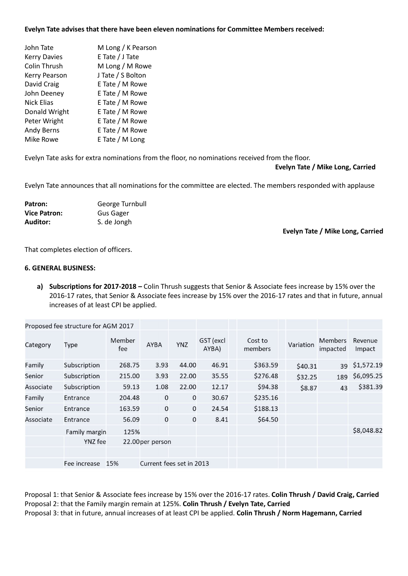#### Evelyn Tate advises that there have been eleven nominations for Committee Members received:

| John Tate           | M Long / K Pearson |
|---------------------|--------------------|
| <b>Kerry Davies</b> | E Tate / J Tate    |
| Colin Thrush        | M Long / M Rowe    |
| Kerry Pearson       | J Tate / S Bolton  |
| David Craig         | E Tate / M Rowe    |
| John Deeney         | E Tate / M Rowe    |
| <b>Nick Elias</b>   | E Tate / M Rowe    |
| Donald Wright       | E Tate / M Rowe    |
| Peter Wright        | E Tate / M Rowe    |
| <b>Andy Berns</b>   | E Tate / M Rowe    |
| Mike Rowe           | E Tate / M Long    |
|                     |                    |

Evelyn Tate asks for extra nominations from the floor, no nominations received from the floor.

#### Evelyn Tate / Mike Long, Carried

Evelyn Tate announces that all nominations for the committee are elected. The members responded with applause

| Patron:             | George Turnbull  |
|---------------------|------------------|
| <b>Vice Patron:</b> | <b>Gus Gager</b> |
| Auditor:            | S. de Jongh      |

Evelyn Tate / Mike Long, Carried

That completes election of officers.

#### 6. GENERAL BUSINESS:

a) Subscriptions for 2017-2018 – Colin Thrush suggests that Senior & Associate fees increase by 15% over the 2016-17 rates, that Senior & Associate fees increase by 15% over the 2016-17 rates and that in future, annual increases of at least CPI be applied.

|           | Proposed fee structure for AGM 2017 |               |                          |             |                    |                    |           |                            |                   |
|-----------|-------------------------------------|---------------|--------------------------|-------------|--------------------|--------------------|-----------|----------------------------|-------------------|
| Category  | Type                                | Member<br>fee | <b>AYBA</b>              | <b>YNZ</b>  | GST (excl<br>AYBA) | Cost to<br>members | Variation | <b>Members</b><br>impacted | Revenue<br>Impact |
| Family    | Subscription                        | 268.75        | 3.93                     | 44.00       | 46.91              | \$363.59           | \$40.31   | 39                         | \$1,572.19        |
| Senior    | Subscription                        | 215.00        | 3.93                     | 22.00       | 35.55              | \$276.48           | \$32.25   | 189                        | \$6,095.25        |
| Associate | Subscription                        | 59.13         | 1.08                     | 22.00       | 12.17              | \$94.38            | \$8.87    | 43                         | \$381.39          |
| Family    | Entrance                            | 204.48        | $\mathbf{0}$             | $\mathbf 0$ | 30.67              | \$235.16           |           |                            |                   |
| Senior    | Entrance                            | 163.59        | $\mathbf 0$              | $\mathbf 0$ | 24.54              | \$188.13           |           |                            |                   |
| Associate | Entrance                            | 56.09         | 0                        | 0           | 8.41               | \$64.50            |           |                            |                   |
|           | Family margin                       | 125%          |                          |             |                    |                    |           |                            | \$8,048.82        |
|           | YNZ fee                             |               | 22.00 per person         |             |                    |                    |           |                            |                   |
|           |                                     |               |                          |             |                    |                    |           |                            |                   |
|           | Fee increase                        | 15%           | Current fees set in 2013 |             |                    |                    |           |                            |                   |

Proposal 1: that Senior & Associate fees increase by 15% over the 2016-17 rates. Colin Thrush / David Craig, Carried Proposal 2: that the Family margin remain at 125%. Colin Thrush / Evelyn Tate, Carried

Proposal 3: that in future, annual increases of at least CPI be applied. Colin Thrush / Norm Hagemann, Carried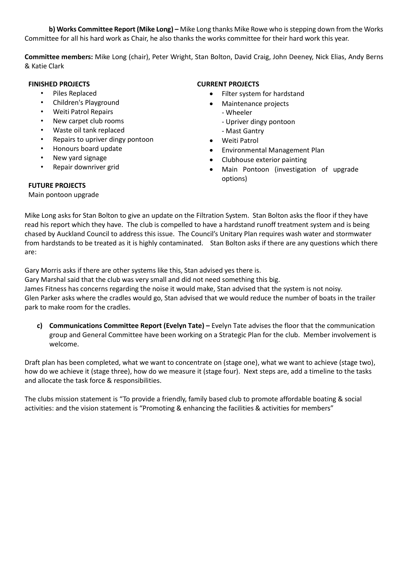b) Works Committee Report (Mike Long) – Mike Long thanks Mike Rowe who is stepping down from the Works Committee for all his hard work as Chair, he also thanks the works committee for their hard work this year.

Committee members: Mike Long (chair), Peter Wright, Stan Bolton, David Craig, John Deeney, Nick Elias, Andy Berns & Katie Clark

## FINISHED PROJECTS

- Piles Replaced
- Children's Playground
- Weiti Patrol Repairs
- New carpet club rooms
- Waste oil tank replaced
- Repairs to upriver dingy pontoon
- Honours board update
- New yard signage
- Repair downriver grid

### CURRENT PROJECTS

- Filter system for hardstand
- Maintenance projects
	- Wheeler
		- Upriver dingy pontoon
	- Mast Gantry
- Weiti Patrol
- Environmental Management Plan
- Clubhouse exterior painting
- Main Pontoon (investigation of upgrade options)

## FUTURE PROJECTS

Main pontoon upgrade

Mike Long asks for Stan Bolton to give an update on the Filtration System. Stan Bolton asks the floor if they have read his report which they have. The club is compelled to have a hardstand runoff treatment system and is being chased by Auckland Council to address this issue. The Council's Unitary Plan requires wash water and stormwater from hardstands to be treated as it is highly contaminated. Stan Bolton asks if there are any questions which there are:

Gary Morris asks if there are other systems like this, Stan advised yes there is.

Gary Marshal said that the club was very small and did not need something this big. James Fitness has concerns regarding the noise it would make, Stan advised that the system is not noisy. Glen Parker asks where the cradles would go, Stan advised that we would reduce the number of boats in the trailer

park to make room for the cradles.

c) Communications Committee Report (Evelyn Tate) – Evelyn Tate advises the floor that the communication group and General Committee have been working on a Strategic Plan for the club. Member involvement is welcome.

Draft plan has been completed, what we want to concentrate on (stage one), what we want to achieve (stage two), how do we achieve it (stage three), how do we measure it (stage four). Next steps are, add a timeline to the tasks and allocate the task force & responsibilities.

The clubs mission statement is "To provide a friendly, family based club to promote affordable boating & social activities: and the vision statement is "Promoting & enhancing the facilities & activities for members"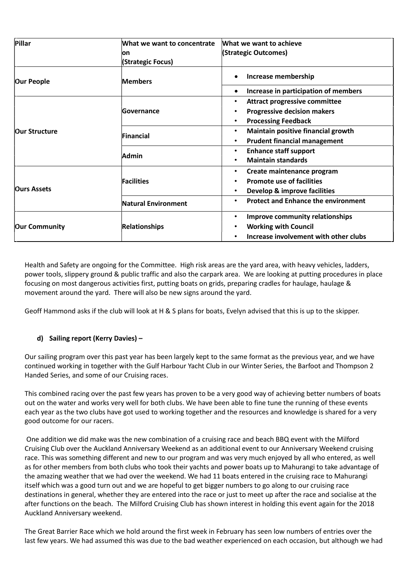| Pillar               | What we want to concentrate<br>lon.<br>(Strategic Focus) | What we want to achieve<br>(Strategic Outcomes)                                                                     |
|----------------------|----------------------------------------------------------|---------------------------------------------------------------------------------------------------------------------|
| <b>Our People</b>    | <b>Members</b>                                           | Increase membership                                                                                                 |
|                      |                                                          | Increase in participation of members                                                                                |
| <b>Our Structure</b> | <b>Governance</b>                                        | <b>Attract progressive committee</b><br><b>Progressive decision makers</b><br><b>Processing Feedback</b>            |
|                      | Financial                                                | Maintain positive financial growth<br>$\bullet$<br><b>Prudent financial management</b>                              |
|                      | Admin                                                    | <b>Enhance staff support</b><br>$\bullet$<br><b>Maintain standards</b>                                              |
| <b>Ours Assets</b>   | <b>Facilities</b>                                        | Create maintenance program<br>٠<br><b>Promote use of facilities</b><br>Develop & improve facilities                 |
|                      | <b>Natural Environment</b>                               | <b>Protect and Enhance the environment</b><br>$\bullet$                                                             |
| <b>Our Community</b> | <b>Relationships</b>                                     | <b>Improve community relationships</b><br>٠<br><b>Working with Council</b><br>Increase involvement with other clubs |

Health and Safety are ongoing for the Committee. High risk areas are the yard area, with heavy vehicles, ladders, power tools, slippery ground & public traffic and also the carpark area. We are looking at putting procedures in place focusing on most dangerous activities first, putting boats on grids, preparing cradles for haulage, haulage & movement around the yard. There will also be new signs around the yard.

Geoff Hammond asks if the club will look at H & S plans for boats, Evelyn advised that this is up to the skipper.

## d) Sailing report (Kerry Davies) –

Our sailing program over this past year has been largely kept to the same format as the previous year, and we have continued working in together with the Gulf Harbour Yacht Club in our Winter Series, the Barfoot and Thompson 2 Handed Series, and some of our Cruising races.

This combined racing over the past few years has proven to be a very good way of achieving better numbers of boats out on the water and works very well for both clubs. We have been able to fine tune the running of these events each year as the two clubs have got used to working together and the resources and knowledge is shared for a very good outcome for our racers.

 One addition we did make was the new combination of a cruising race and beach BBQ event with the Milford Cruising Club over the Auckland Anniversary Weekend as an additional event to our Anniversary Weekend cruising race. This was something different and new to our program and was very much enjoyed by all who entered, as well as for other members from both clubs who took their yachts and power boats up to Mahurangi to take advantage of the amazing weather that we had over the weekend. We had 11 boats entered in the cruising race to Mahurangi itself which was a good turn out and we are hopeful to get bigger numbers to go along to our cruising race destinations in general, whether they are entered into the race or just to meet up after the race and socialise at the after functions on the beach. The Milford Cruising Club has shown interest in holding this event again for the 2018 Auckland Anniversary weekend.

The Great Barrier Race which we hold around the first week in February has seen low numbers of entries over the last few years. We had assumed this was due to the bad weather experienced on each occasion, but although we had